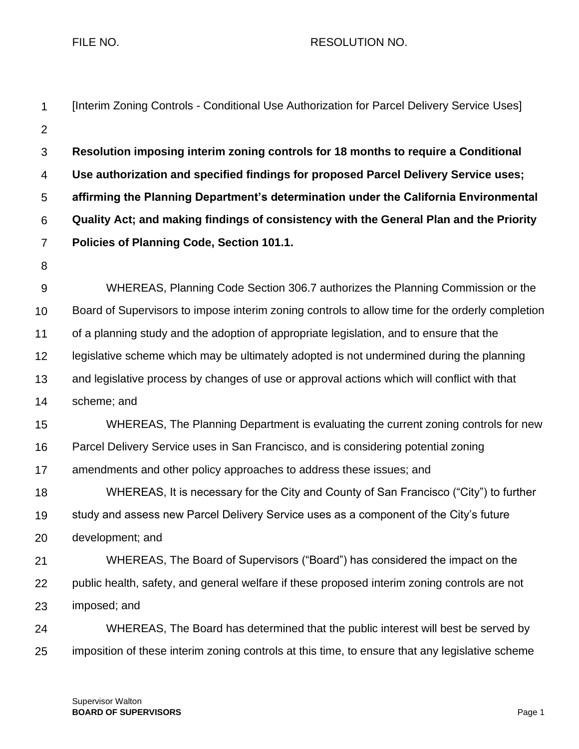FILE NO. A RESOLUTION NO.

| $\mathbf 1$      | [Interim Zoning Controls - Conditional Use Authorization for Parcel Delivery Service Uses]      |
|------------------|-------------------------------------------------------------------------------------------------|
| $\overline{2}$   |                                                                                                 |
| $\mathfrak{S}$   | Resolution imposing interim zoning controls for 18 months to require a Conditional              |
| 4                | Use authorization and specified findings for proposed Parcel Delivery Service uses;             |
| 5                | affirming the Planning Department's determination under the California Environmental            |
| 6                | Quality Act; and making findings of consistency with the General Plan and the Priority          |
| $\overline{7}$   | Policies of Planning Code, Section 101.1.                                                       |
| 8                |                                                                                                 |
| $\boldsymbol{9}$ | WHEREAS, Planning Code Section 306.7 authorizes the Planning Commission or the                  |
| 10               | Board of Supervisors to impose interim zoning controls to allow time for the orderly completion |
| 11               | of a planning study and the adoption of appropriate legislation, and to ensure that the         |
| 12               | legislative scheme which may be ultimately adopted is not undermined during the planning        |
| 13               | and legislative process by changes of use or approval actions which will conflict with that     |
| 14               | scheme; and                                                                                     |
| 15               | WHEREAS, The Planning Department is evaluating the current zoning controls for new              |
| 16               | Parcel Delivery Service uses in San Francisco, and is considering potential zoning              |
| 17               | amendments and other policy approaches to address these issues; and                             |
| 18               | WHEREAS, It is necessary for the City and County of San Francisco ("City") to further           |
| 19               | study and assess new Parcel Delivery Service uses as a component of the City's future           |
| 20               | development; and                                                                                |
| 21               | WHEREAS, The Board of Supervisors ("Board") has considered the impact on the                    |
| 22               | public health, safety, and general welfare if these proposed interim zoning controls are not    |
| 23               | imposed; and                                                                                    |
| 24               | WHEREAS, The Board has determined that the public interest will best be served by               |
| 25               | imposition of these interim zoning controls at this time, to ensure that any legislative scheme |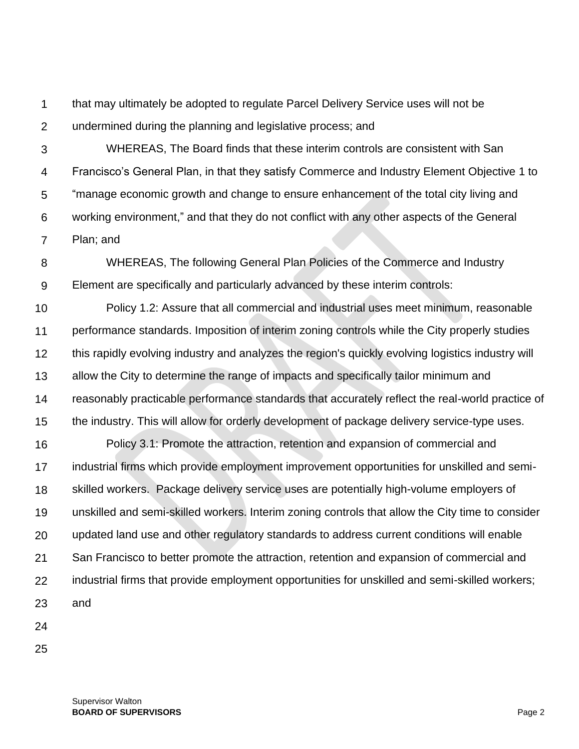1  $\mathcal{P}$ that may ultimately be adopted to regulate Parcel Delivery Service uses will not be undermined during the planning and legislative process; and

3 4 5 6 7 WHEREAS, The Board finds that these interim controls are consistent with San Francisco's General Plan, in that they satisfy Commerce and Industry Element Objective 1 to "manage economic growth and change to ensure enhancement of the total city living and working environment," and that they do not conflict with any other aspects of the General Plan; and

8 9 WHEREAS, The following General Plan Policies of the Commerce and Industry Element are specifically and particularly advanced by these interim controls:

10 11 12 13 14 15 Policy 1.2: Assure that all commercial and industrial uses meet minimum, reasonable performance standards. Imposition of interim zoning controls while the City properly studies this rapidly evolving industry and analyzes the region's quickly evolving logistics industry will allow the City to determine the range of impacts and specifically tailor minimum and reasonably practicable performance standards that accurately reflect the real-world practice of the industry. This will allow for orderly development of package delivery service-type uses.

16 17 18 19 20 21 22 23 Policy 3.1: Promote the attraction, retention and expansion of commercial and industrial firms which provide employment improvement opportunities for unskilled and semiskilled workers. Package delivery service uses are potentially high-volume employers of unskilled and semi-skilled workers. Interim zoning controls that allow the City time to consider updated land use and other regulatory standards to address current conditions will enable San Francisco to better promote the attraction, retention and expansion of commercial and industrial firms that provide employment opportunities for unskilled and semi-skilled workers; and

- 24
- 25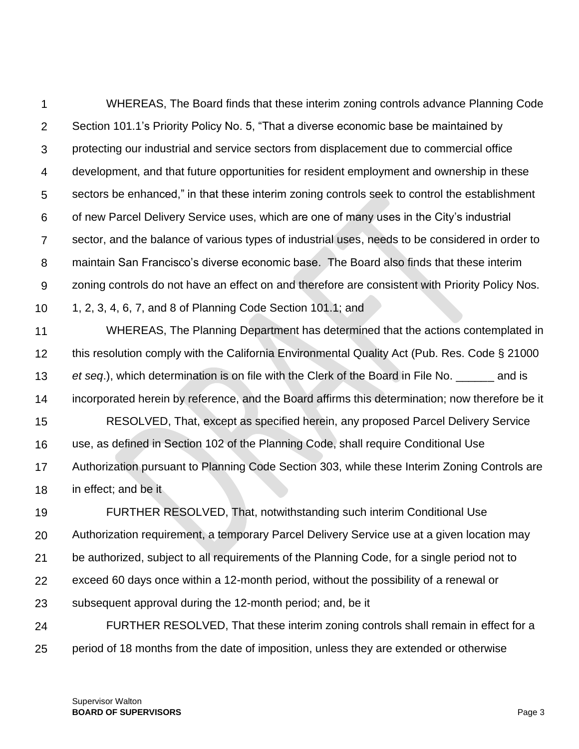1  $\mathcal{P}$ 3 4 5 6 7 8 9 10 11 12 13 14 15 16 17 WHEREAS, The Board finds that these interim zoning controls advance Planning Code Section 101.1's Priority Policy No. 5, "That a diverse economic base be maintained by protecting our industrial and service sectors from displacement due to commercial office development, and that future opportunities for resident employment and ownership in these sectors be enhanced," in that these interim zoning controls seek to control the establishment of new Parcel Delivery Service uses, which are one of many uses in the City's industrial sector, and the balance of various types of industrial uses, needs to be considered in order to maintain San Francisco's diverse economic base. The Board also finds that these interim zoning controls do not have an effect on and therefore are consistent with Priority Policy Nos. 1, 2, 3, 4, 6, 7, and 8 of Planning Code Section 101.1; and WHEREAS, The Planning Department has determined that the actions contemplated in this resolution comply with the California Environmental Quality Act (Pub. Res. Code § 21000 *et seq*.), which determination is on file with the Clerk of the Board in File No. \_\_\_\_\_\_ and is incorporated herein by reference, and the Board affirms this determination; now therefore be it RESOLVED, That, except as specified herein, any proposed Parcel Delivery Service use, as defined in Section 102 of the Planning Code, shall require Conditional Use Authorization pursuant to Planning Code Section 303, while these Interim Zoning Controls are

18 in effect; and be it

19 20 21 22 23 24 FURTHER RESOLVED, That, notwithstanding such interim Conditional Use Authorization requirement, a temporary Parcel Delivery Service use at a given location may be authorized, subject to all requirements of the Planning Code, for a single period not to exceed 60 days once within a 12-month period, without the possibility of a renewal or subsequent approval during the 12-month period; and, be it FURTHER RESOLVED, That these interim zoning controls shall remain in effect for a

25 period of 18 months from the date of imposition, unless they are extended or otherwise